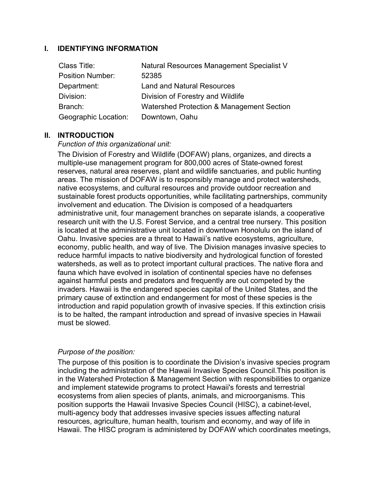## **I. IDENTIFYING INFORMATION**

| Class Title:                | Natural Resources Management Specialist V |
|-----------------------------|-------------------------------------------|
| <b>Position Number:</b>     | 52385                                     |
| Department:                 | <b>Land and Natural Resources</b>         |
| Division:                   | Division of Forestry and Wildlife         |
| Branch:                     | Watershed Protection & Management Section |
| <b>Geographic Location:</b> | Downtown, Oahu                            |

### **II. INTRODUCTION**

### *Function of this organizational unit:*

The Division of Forestry and Wildlife (DOFAW) plans, organizes, and directs a multiple-use management program for 800,000 acres of State-owned forest reserves, natural area reserves, plant and wildlife sanctuaries, and public hunting areas. The mission of DOFAW is to responsibly manage and protect watersheds, native ecosystems, and cultural resources and provide outdoor recreation and sustainable forest products opportunities, while facilitating partnerships, community involvement and education. The Division is composed of a headquarters administrative unit, four management branches on separate islands, a cooperative research unit with the U.S. Forest Service, and a central tree nursery. This position is located at the administrative unit located in downtown Honolulu on the island of Oahu. Invasive species are a threat to Hawaii's native ecosystems, agriculture, economy, public health, and way of live. The Division manages invasive species to reduce harmful impacts to native biodiversity and hydrological function of forested watersheds, as well as to protect important cultural practices. The native flora and fauna which have evolved in isolation of continental species have no defenses against harmful pests and predators and frequently are out competed by the invaders. Hawaii is the endangered species capital of the United States, and the primary cause of extinction and endangerment for most of these species is the introduction and rapid population growth of invasive species. If this extinction crisis is to be halted, the rampant introduction and spread of invasive species in Hawaii must be slowed.

### *Purpose of the position:*

The purpose of this position is to coordinate the Division's invasive species program including the administration of the Hawaii Invasive Species Council.This position is in the Watershed Protection & Management Section with responsibilities to organize and implement statewide programs to protect Hawaii's forests and terrestrial ecosystems from alien species of plants, animals, and microorganisms. This position supports the Hawaii Invasive Species Council (HISC), a cabinet-level, multi-agency body that addresses invasive species issues affecting natural resources, agriculture, human health, tourism and economy, and way of life in Hawaii. The HISC program is administered by DOFAW which coordinates meetings,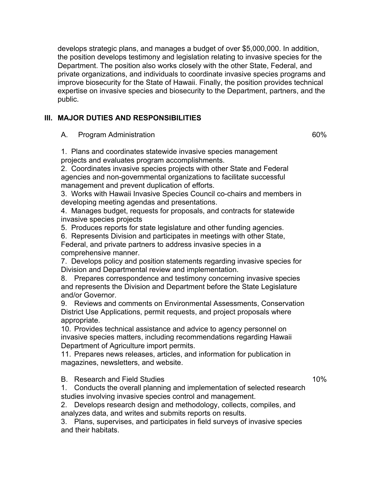develops strategic plans, and manages a budget of over \$5,000,000. In addition, the position develops testimony and legislation relating to invasive species for the Department. The position also works closely with the other State, Federal, and private organizations, and individuals to coordinate invasive species programs and improve biosecurity for the State of Hawaii. Finally, the position provides technical expertise on invasive species and biosecurity to the Department, partners, and the public.

# **III. MAJOR DUTIES AND RESPONSIBILITIES**

A. Program Administration

1. Plans and coordinates statewide invasive species management projects and evaluates program accomplishments.

2. Coordinates invasive species projects with other State and Federal agencies and non-governmental organizations to facilitate successful management and prevent duplication of efforts.

3. Works with Hawaii Invasive Species Council co-chairs and members in developing meeting agendas and presentations.

4. Manages budget, requests for proposals, and contracts for statewide invasive species projects

5. Produces reports for state legislature and other funding agencies.

6. Represents Division and participates in meetings with other State, Federal, and private partners to address invasive species in a comprehensive manner.

7. Develops policy and position statements regarding invasive species for Division and Departmental review and implementation.

8. Prepares correspondence and testimony concerning invasive species and represents the Division and Department before the State Legislature and/or Governor.

9. Reviews and comments on Environmental Assessments, Conservation District Use Applications, permit requests, and project proposals where appropriate.

10. Provides technical assistance and advice to agency personnel on invasive species matters, including recommendations regarding Hawaii Department of Agriculture import permits.

11. Prepares news releases, articles, and information for publication in magazines, newsletters, and website.

B. Research and Field Studies

1. Conducts the overall planning and implementation of selected research studies involving invasive species control and management.

2. Develops research design and methodology, collects, compiles, and analyzes data, and writes and submits reports on results.

3. Plans, supervises, and participates in field surveys of invasive species and their habitats.

#### 10%

60%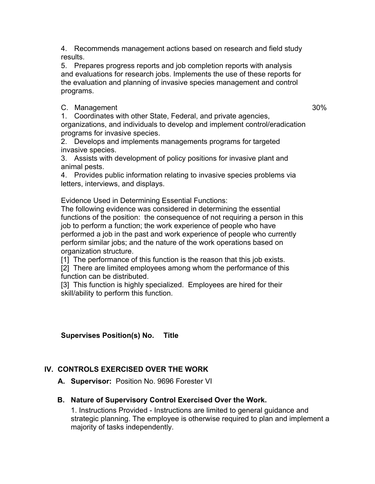4. Recommends management actions based on research and field study results.

5. Prepares progress reports and job completion reports with analysis and evaluations for research jobs. Implements the use of these reports for the evaluation and planning of invasive species management and control programs.

C. Management

30%

1. Coordinates with other State, Federal, and private agencies, organizations, and individuals to develop and implement control/eradication programs for invasive species.

2. Develops and implements managements programs for targeted invasive species.

3. Assists with development of policy positions for invasive plant and animal pests.

4. Provides public information relating to invasive species problems via letters, interviews, and displays.

Evidence Used in Determining Essential Functions:

The following evidence was considered in determining the essential functions of the position: the consequence of not requiring a person in this job to perform a function; the work experience of people who have performed a job in the past and work experience of people who currently perform similar jobs; and the nature of the work operations based on organization structure.

[1] The performance of this function is the reason that this job exists.

[2] There are limited employees among whom the performance of this function can be distributed.

[3] This function is highly specialized. Employees are hired for their skill/ability to perform this function.

**Supervises Position(s) No. Title**

# **IV. CONTROLS EXERCISED OVER THE WORK**

**A. Supervisor:** Position No. 9696 Forester VI

### **B. Nature of Supervisory Control Exercised Over the Work.**

1. Instructions Provided - Instructions are limited to general guidance and strategic planning. The employee is otherwise required to plan and implement a majority of tasks independently.